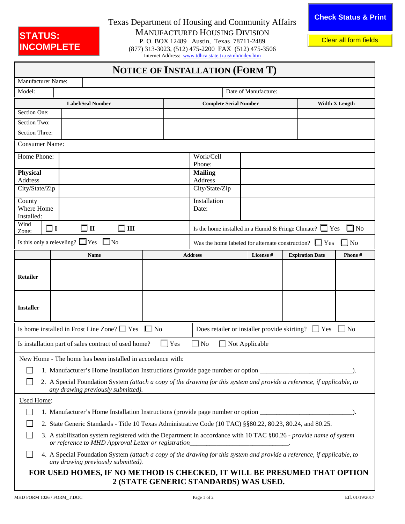## STATUS:<br>**INCOMPLETE**

Texas Department of Housing and Community Affairs MANUFACTURED HOUSING DIVISION P. O. BOX 12489 Austin, Texas 78711-2489 **INCOMPLETE** P. O. BOX 12489 Austin, Texas 78711-2489<br> **INCOMPLETE** (877) 313-3023, (5[12\) 475-2200 FAX \(512\) 475-](http://www.tdhca.state.tx.us/mh/index.htm)3506

Internet Address: [www.tdhca.state.tx.us/mh/index.htm](http://www.tdhca.state.tx.us/mh/index.htm)

|  | NOTICE OF INSTALLATION (FORM T) |  |
|--|---------------------------------|--|
|--|---------------------------------|--|

| Manufacturer Name:                                                                                                                                                                                      |                                                                                                                            |                          |                                                                      |                                                                            |           |                        |                       |  |
|---------------------------------------------------------------------------------------------------------------------------------------------------------------------------------------------------------|----------------------------------------------------------------------------------------------------------------------------|--------------------------|----------------------------------------------------------------------|----------------------------------------------------------------------------|-----------|------------------------|-----------------------|--|
| Model:                                                                                                                                                                                                  |                                                                                                                            | Date of Manufacture:     |                                                                      |                                                                            |           |                        |                       |  |
|                                                                                                                                                                                                         |                                                                                                                            | <b>Label/Seal Number</b> |                                                                      | <b>Complete Serial Number</b>                                              |           |                        | <b>Width X Length</b> |  |
| Section One:                                                                                                                                                                                            |                                                                                                                            |                          |                                                                      |                                                                            |           |                        |                       |  |
| Section Two:                                                                                                                                                                                            |                                                                                                                            |                          |                                                                      |                                                                            |           |                        |                       |  |
| Section Three:                                                                                                                                                                                          |                                                                                                                            |                          |                                                                      |                                                                            |           |                        |                       |  |
| <b>Consumer Name:</b>                                                                                                                                                                                   |                                                                                                                            |                          |                                                                      |                                                                            |           |                        |                       |  |
| Home Phone:                                                                                                                                                                                             |                                                                                                                            |                          | Work/Cell                                                            |                                                                            |           |                        |                       |  |
|                                                                                                                                                                                                         |                                                                                                                            |                          | Phone:                                                               |                                                                            |           |                        |                       |  |
| Physical<br>Address                                                                                                                                                                                     |                                                                                                                            |                          | <b>Mailing</b>                                                       |                                                                            |           |                        |                       |  |
| City/State/Zip                                                                                                                                                                                          |                                                                                                                            |                          | Address<br>City/State/Zip                                            |                                                                            |           |                        |                       |  |
|                                                                                                                                                                                                         |                                                                                                                            |                          |                                                                      |                                                                            |           |                        |                       |  |
| County<br>Where Home                                                                                                                                                                                    |                                                                                                                            |                          |                                                                      | Installation<br>Date:                                                      |           |                        |                       |  |
| Installed:                                                                                                                                                                                              |                                                                                                                            |                          |                                                                      |                                                                            |           |                        |                       |  |
| Wind<br>Zone:                                                                                                                                                                                           | $\exists$ I                                                                                                                | $\square$ II<br>III      |                                                                      | $\Box$ No<br>Is the home installed in a Humid & Fringe Climate? $\Box$ Yes |           |                        |                       |  |
|                                                                                                                                                                                                         | Is this only a releveling? $\Box$ Yes<br>$\Box$ No                                                                         |                          | No<br>Was the home labeled for alternate construction? $\square$ Yes |                                                                            |           |                        |                       |  |
|                                                                                                                                                                                                         |                                                                                                                            | <b>Name</b>              |                                                                      | <b>Address</b>                                                             | License # | <b>Expiration Date</b> | Phone#                |  |
|                                                                                                                                                                                                         |                                                                                                                            |                          |                                                                      |                                                                            |           |                        |                       |  |
| <b>Retailer</b>                                                                                                                                                                                         |                                                                                                                            |                          |                                                                      |                                                                            |           |                        |                       |  |
|                                                                                                                                                                                                         |                                                                                                                            |                          |                                                                      |                                                                            |           |                        |                       |  |
|                                                                                                                                                                                                         |                                                                                                                            |                          |                                                                      |                                                                            |           |                        |                       |  |
| <b>Installer</b>                                                                                                                                                                                        |                                                                                                                            |                          |                                                                      |                                                                            |           |                        |                       |  |
|                                                                                                                                                                                                         |                                                                                                                            |                          |                                                                      |                                                                            |           |                        |                       |  |
|                                                                                                                                                                                                         | Is home installed in Frost Line Zone? Nes<br>$\Box$ No<br>Does retailer or installer provide skirting?<br>No<br>$\Box$ Yes |                          |                                                                      |                                                                            |           |                        |                       |  |
| $\Box$ No<br>$\Box$ Not Applicable<br>Is installation part of sales contract of used home?<br>Yes                                                                                                       |                                                                                                                            |                          |                                                                      |                                                                            |           |                        |                       |  |
|                                                                                                                                                                                                         |                                                                                                                            |                          |                                                                      |                                                                            |           |                        |                       |  |
| New Home - The home has been installed in accordance with:                                                                                                                                              |                                                                                                                            |                          |                                                                      |                                                                            |           |                        |                       |  |
| □ 1. Manufacturer's Home Installation Instructions (provide page number or option _                                                                                                                     |                                                                                                                            |                          |                                                                      |                                                                            |           |                        |                       |  |
| 2. A Special Foundation System (attach a copy of the drawing for this system and provide a reference, if applicable, to<br>any drawing previously submitted).                                           |                                                                                                                            |                          |                                                                      |                                                                            |           |                        |                       |  |
| <b>Used Home:</b>                                                                                                                                                                                       |                                                                                                                            |                          |                                                                      |                                                                            |           |                        |                       |  |
| 1. Manufacturer's Home Installation Instructions (provide page number or option                                                                                                                         |                                                                                                                            |                          |                                                                      |                                                                            |           |                        |                       |  |
| 2. State Generic Standards - Title 10 Texas Administrative Code (10 TAC) §§80.22, 80.23, 80.24, and 80.25.                                                                                              |                                                                                                                            |                          |                                                                      |                                                                            |           |                        |                       |  |
|                                                                                                                                                                                                         |                                                                                                                            |                          |                                                                      |                                                                            |           |                        |                       |  |
| 3. A stabilization system registered with the Department in accordance with 10 TAC §80.26 - provide name of system<br>or reference to MHD Approval Letter or registration______________________________ |                                                                                                                            |                          |                                                                      |                                                                            |           |                        |                       |  |
| 4. A Special Foundation System (attach a copy of the drawing for this system and provide a reference, if applicable, to<br>any drawing previously submitted).                                           |                                                                                                                            |                          |                                                                      |                                                                            |           |                        |                       |  |
|                                                                                                                                                                                                         | FOR USED HOMES, IF NO METHOD IS CHECKED, IT WILL BE PRESUMED THAT OPTION                                                   |                          |                                                                      |                                                                            |           |                        |                       |  |
| 2 (STATE GENERIC STANDARDS) WAS USED.                                                                                                                                                                   |                                                                                                                            |                          |                                                                      |                                                                            |           |                        |                       |  |
|                                                                                                                                                                                                         |                                                                                                                            |                          |                                                                      |                                                                            |           |                        |                       |  |